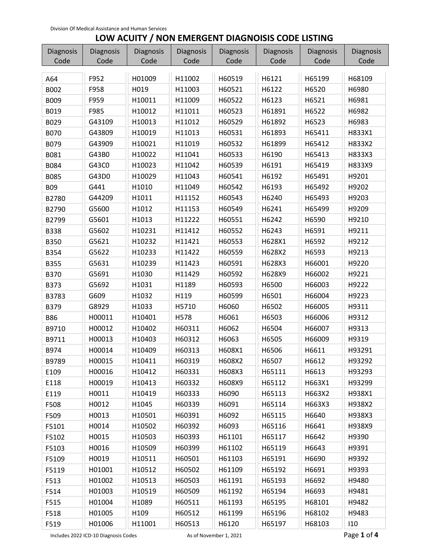## **LOW ACUITY / NON EMERGENT DIAGNOISIS CODE LISTING**

| Diagnosis   | Diagnosis | Diagnosis | Diagnosis | Diagnosis | Diagnosis | Diagnosis | Diagnosis |
|-------------|-----------|-----------|-----------|-----------|-----------|-----------|-----------|
| Code        | Code      | Code      | Code      | Code      | Code      | Code      | Code      |
| A64         | F952      | H01009    | H11002    | H60519    | H6121     | H65199    | H68109    |
| B002        | F958      | H019      | H11003    | H60521    | H6122     | H6520     | H6980     |
| B009        | F959      | H10011    | H11009    | H60522    | H6123     | H6521     | H6981     |
| B019        | F985      | H10012    | H11011    | H60523    | H61891    | H6522     | H6982     |
| B029        | G43109    | H10013    | H11012    | H60529    | H61892    | H6523     | H6983     |
| <b>B070</b> | G43809    | H10019    | H11013    | H60531    | H61893    | H65411    | H833X1    |
| B079        | G43909    | H10021    | H11019    | H60532    | H61899    | H65412    | H833X2    |
| B081        | G43B0     | H10022    | H11041    | H60533    | H6190     | H65413    | H833X3    |
| B084        | G43C0     | H10023    | H11042    | H60539    | H6191     | H65419    | H833X9    |
| B085        | G43D0     | H10029    | H11043    | H60541    | H6192     | H65491    | H9201     |
| <b>B09</b>  | G441      | H1010     | H11049    | H60542    | H6193     | H65492    | H9202     |
| B2780       | G44209    | H1011     | H11152    | H60543    | H6240     | H65493    | H9203     |
| B2790       | G5600     | H1012     | H11153    | H60549    | H6241     | H65499    | H9209     |
| B2799       | G5601     | H1013     | H11222    | H60551    | H6242     | H6590     | H9210     |
| <b>B338</b> | G5602     | H10231    | H11412    | H60552    | H6243     | H6591     | H9211     |
| <b>B350</b> | G5621     | H10232    | H11421    | H60553    | H628X1    | H6592     | H9212     |
| B354        | G5622     | H10233    | H11422    | H60559    | H628X2    | H6593     | H9213     |
| <b>B355</b> | G5631     | H10239    | H11423    | H60591    | H628X3    | H66001    | H9220     |
| <b>B370</b> | G5691     | H1030     | H11429    | H60592    | H628X9    | H66002    | H9221     |
| B373        | G5692     | H1031     | H1189     | H60593    | H6500     | H66003    | H9222     |
| B3783       | G609      | H1032     | H119      | H60599    | H6501     | H66004    | H9223     |
| B379        | G8929     | H1033     | H5710     | H6060     | H6502     | H66005    | H9311     |
| <b>B86</b>  | H00011    | H10401    | H578      | H6061     | H6503     | H66006    | H9312     |
| B9710       | H00012    | H10402    | H60311    | H6062     | H6504     | H66007    | H9313     |
| B9711       | H00013    | H10403    | H60312    | H6063     | H6505     | H66009    | H9319     |
| B974        | H00014    | H10409    | H60313    | H608X1    | H6506     | H6611     | H93291    |
| B9789       | H00015    | H10411    | H60319    | H608X2    | H6507     | H6612     | H93292    |
| E109        | H00016    | H10412    | H60331    | H608X3    | H65111    | H6613     | H93293    |
| E118        | H00019    | H10413    | H60332    | H608X9    | H65112    | H663X1    | H93299    |
| E119        | H0011     | H10419    | H60333    | H6090     | H65113    | H663X2    | H938X1    |
| F508        | H0012     | H1045     | H60339    | H6091     | H65114    | H663X3    | H938X2    |
| F509        | H0013     | H10501    | H60391    | H6092     | H65115    | H6640     | H938X3    |
| F5101       | H0014     | H10502    | H60392    | H6093     | H65116    | H6641     | H938X9    |
| F5102       | H0015     | H10503    | H60393    | H61101    | H65117    | H6642     | H9390     |
| F5103       | H0016     | H10509    | H60399    | H61102    | H65119    | H6643     | H9391     |
| F5109       | H0019     | H10511    | H60501    | H61103    | H65191    | H6690     | H9392     |
| F5119       | H01001    | H10512    | H60502    | H61109    | H65192    | H6691     | H9393     |
| F513        | H01002    | H10513    | H60503    | H61191    | H65193    | H6692     | H9480     |
| F514        | H01003    | H10519    | H60509    | H61192    | H65194    | H6693     | H9481     |
| F515        | H01004    | H1089     | H60511    | H61193    | H65195    | H68101    | H9482     |
| F518        | H01005    | H109      | H60512    | H61199    | H65196    | H68102    | H9483     |
| F519        | H01006    | H11001    | H60513    | H6120     | H65197    | H68103    | 110       |

Includes 2022 ICD-10 Diagnosis Codes As of November 1, 2021 **Page 1 of 4**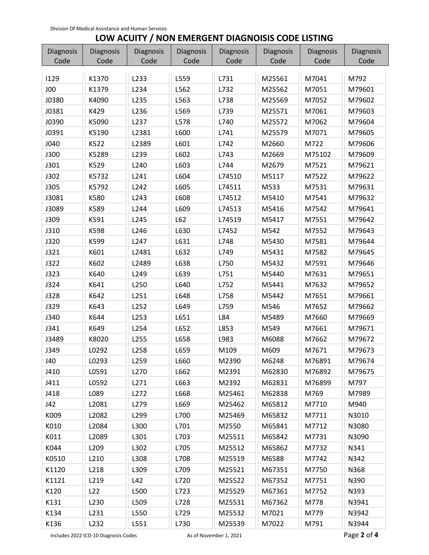## **LOW ACUITY / NON EMERGENT DIAGNOISIS CODE LISTING**

| <b>Diagnosis</b> | <b>Diagnosis</b> | Diagnosis | Diagnosis | Diagnosis | Diagnosis | Diagnosis | Diagnosis |
|------------------|------------------|-----------|-----------|-----------|-----------|-----------|-----------|
| Code             | Code             | Code      | Code      | Code      | Code      | Code      | Code      |
| 1129             | K1370            | L233      | L559      | L731      | M25561    | M7041     | M792      |
| JOO              | K1379            | L234      | L562      | L732      | M25562    | M7051     | M79601    |
| J0380            | K4090            | L235      | L563      | L738      | M25569    | M7052     | M79602    |
| J0381            | K429             | L236      | L569      | L739      | M25571    | M7061     | M79603    |
| J0390            | K5090            | L237      | L578      | L740      | M25572    | M7062     | M79604    |
| J0391            | K5190            | L2381     | L600      | L741      | M25579    | M7071     | M79605    |
| J040             | K522             | L2389     | L601      | L742      | M2660     | M722      | M79606    |
| <b>J300</b>      | K5289            | L239      | L602      | L743      | M2669     | M75102    | M79609    |
| J301             | K529             | L240      | L603      | L744      | M2679     | M7521     | M79621    |
| J302             | K5732            | L241      | L604      | L74510    | M5117     | M7522     | M79622    |
| <b>J305</b>      | K5792            | L242      | L605      | L74511    | M533      | M7531     | M79631    |
| J3081            | K580             | L243      | L608      | L74512    | M5410     | M7541     | M79632    |
| J3089            | K589             | L244      | L609      | L74513    | M5416     | M7542     | M79641    |
| J309             | K591             | L245      | L62       | L74519    | M5417     | M7551     | M79642    |
| J310             | K598             | L246      | L630      | L7452     | M542      | M7552     | M79643    |
| J320             | K599             | L247      | L631      | L748      | M5430     | M7581     | M79644    |
| J321             | K601             | L2481     | L632      | L749      | M5431     | M7582     | M79645    |
| J322             | K602             | L2489     | L638      | L750      | M5432     | M7591     | M79646    |
| J323             | K640             | L249      | L639      | L751      | M5440     | M7631     | M79651    |
| J324             | K641             | L250      | L640      | L752      | M5441     | M7632     | M79652    |
| J328             | K642             | L251      | L648      | L758      | M5442     | M7651     | M79661    |
| J329             | K643             | L252      | L649      | L759      | M546      | M7652     | M79662    |
| J340             | K644             | L253      | L651      | L84       | M5489     | M7660     | M79669    |
| J341             | K649             | L254      | L652      | L853      | M549      | M7661     | M79671    |
| J3489            | K8020            | L255      | L658      | L983      | M6088     | M7662     | M79672    |
| J349             | L0292            | L258      | L659      | M109      | M609      | M7671     | M79673    |
| J40              | L0293            | L259      | L660      | M2390     | M6248     | M76891    | M79674    |
| J410             | L0591            | L270      | L662      | M2391     | M62830    | M76892    | M79675    |
| J411             | L0592            | L271      | L663      | M2392     | M62831    | M76899    | M797      |
| J418             | L089             | L272      | L668      | M25461    | M62838    | M769      | M7989     |
| J42              | L2081            | L279      | L669      | M25462    | M65812    | M7710     | M940      |
| K009             | L2082            | L299      | L700      | M25469    | M65832    | M7711     | N3010     |
| K010             | L2084            | L300      | L701      | M2550     | M65841    | M7712     | N3080     |
| K011             | L2089            | L301      | L703      | M25511    | M65842    | M7731     | N3090     |
| K044             | L209             | L302      | L705      | M25512    | M65862    | M7732     | N341      |
| K0510            | L210             | L308      | L708      | M25519    | M6588     | M7742     | N342      |
| K1120            | L218             | L309      | L709      | M25521    | M67351    | M7750     | N368      |
| K1121            | L219             | L42       | L720      | M25522    | M67352    | M7751     | N390      |
| K120             | L22              | L500      | L723      | M25529    | M67361    | M7752     | N393      |
| K131             | L230             | L509      | L728      | M25531    | M67362    | M778      | N3941     |
| K134             | L231             | L550      | L729      | M25532    | M7021     | M779      | N3942     |
| K136             | L232             | L551      | L730      | M25539    | M7022     | M791      | N3944     |

Includes 2022 ICD-10 Diagnosis Codes As of November 1, 2021 **Page 2 of 4**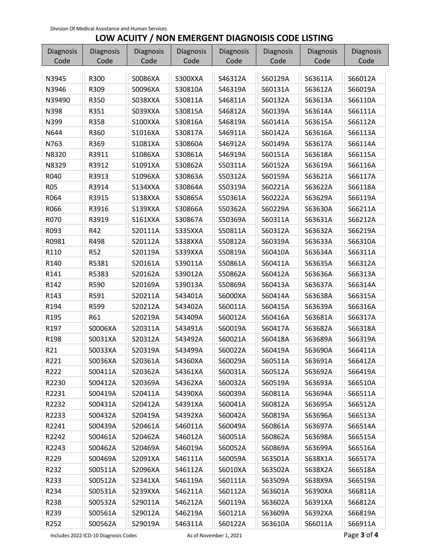## **LOW ACUITY / NON EMERGENT DIAGNOISIS CODE LISTING**

| Diagnosis    | <b>Diagnosis</b> | <b>Diagnosis</b>   | Diagnosis          | <b>Diagnosis</b>   | Diagnosis          | Diagnosis          | Diagnosis          |
|--------------|------------------|--------------------|--------------------|--------------------|--------------------|--------------------|--------------------|
| Code         | Code             | Code               | Code               | Code               | Code               | Code               | Code               |
| N3945        | R300             | S0086XA            | S300XXA            | S46312A            | S60129A            | S63611A            | S66012A            |
|              |                  |                    |                    | S46319A            |                    |                    |                    |
| N3946        | R309             | S0096XA            | S30810A            |                    | S60131A            | S63612A            | S66019A            |
| N39490       | R350             | S038XXA            | S30811A            | S46811A            | S60132A            | S63613A            | S66110A            |
| N398         | R351             | S039XXA<br>S100XXA | S30815A            | S46812A            | S60139A            | S63614A            | S66111A            |
| N399<br>N644 | R358<br>R360     | S1016XA            | S30816A<br>S30817A | S46819A<br>S46911A | S60141A<br>S60142A | S63615A<br>S63616A | S66112A<br>S66113A |
|              |                  | S1081XA            |                    |                    |                    |                    |                    |
| N763         | R369             |                    | S30860A            | S46912A            | S60149A            | S63617A            | S66114A            |
| N8320        | R3911            | S1086XA            | S30861A            | S46919A            | S60151A            | S63618A            | S66115A            |
| N8329        | R3912            | S1091XA            | S30862A            | S50311A            | S60152A            | S63619A            | S66116A            |
| R040         | R3913            | S1096XA            | S30863A            | S50312A            | S60159A            | S63621A            | S66117A            |
| <b>R05</b>   | R3914            | S134XXA            | S30864A            | S50319A            | S60221A            | S63622A            | S66118A            |
| R064         | R3915            | S138XXA            | S30865A            | S50361A            | S60222A            | S63629A            | S66119A            |
| R066         | R3916            | S139XXA            | S30866A            | S50362A            | S60229A            | S63630A            | S66211A            |
| R070         | R3919            | <b>S161XXA</b>     | S30867A            | S50369A            | S60311A            | S63631A            | S66212A            |
| R093         | R42              | S20111A            | S335XXA            | S50811A            | S60312A            | S63632A            | S66219A            |
| R0981        | R498             | S20112A            | S338XXA            | S50812A            | S60319A            | S63633A            | S66310A            |
| R110         | R <sub>52</sub>  | S20119A            | S339XXA            | S50819A            | S60410A            | S63634A            | S66311A            |
| R140         | R5381            | S20161A            | S39011A            | S50861A            | S60411A            | S63635A            | S66312A            |
| R141         | R5383            | S20162A            | S39012A            | S50862A            | S60412A            | S63636A            | S66313A            |
| R142         | R590             | S20169A            | S39013A            | S50869A            | S60413A            | S63637A            | S66314A            |
| R143         | R591             | S20211A            | S43401A            | S6000XA            | S60414A            | S63638A            | S66315A            |
| R194         | R599             | S20212A            | S43402A            | S60011A            | S60415A            | S63639A            | S66316A            |
| R195         | R61              | S20219A            | S43409A            | S60012A            | S60416A            | S63681A            | S66317A            |
| R197         | S0006XA          | S20311A            | S43491A            | S60019A            | S60417A            | S63682A            | S66318A            |
| R198         | S0031XA          | S20312A            | S43492A            | S60021A            | S60418A            | S63689A            | S66319A            |
| R21          | S0033XA          | S20319A            | S43499A            | S60022A            | S60419A            | S63690A            | S66411A            |
| R221         | S0036XA          | S20361A            | S4360XA            | S60029A            | S60511A            | S63691A            | S66412A            |
| R222         | S00411A          | S20362A            | S4361XA            | S60031A            | S60512A            | S63692A            | S66419A            |
| R2230        | S00412A          | S20369A            | S4362XA            | S60032A            | S60519A            | S63693A            | S66510A            |
| R2231        | S00419A          | S20411A            | S4390XA            | S60039A            | S60811A            | S63694A            | S66511A            |
| R2232        | S00431A          | S20412A            | S4391XA            | S60041A            | S60812A            | S63695A            | S66512A            |
| R2233        | S00432A          | S20419A            | S4392XA            | S60042A            | S60819A            | S63696A            | S66513A            |
| R2241        | S00439A          | S20461A            | S46011A            | S60049A            | S60861A            | S63697A            | S66514A            |
| R2242        | S00461A          | S20462A            | S46012A            | S60051A            | S60862A            | S63698A            | S66515A            |
| R2243        | S00462A          | S20469A            | S46019A            | S60052A            | S60869A            | S63699A            | S66516A            |
| R229         | S00469A          | S2091XA            | S46111A            | S60059A            | S63501A            | S638X1A            | S66517A            |
| R232         | S00511A          | S2096XA            | S46112A            | S6010XA            | S63502A            | S638X2A            | S66518A            |
| R233         | S00512A          | S2341XA            | S46119A            | S60111A            | S63509A            | S638X9A            | S66519A            |
| R234         | S00531A          | S239XXA            | S46211A            | S60112A            | S63601A            | S6390XA            | S66811A            |
| R238         | S00532A          | S29011A            | S46212A            | S60119A            | S63602A            | S6391XA            | S66812A            |
| R239         | S00561A          | S29012A            | S46219A            | S60121A            | S63609A            | S6392XA            | S66819A            |
| R252         | S00562A          | S29019A            | S46311A            | S60122A            | S63610A            | S66011A            | S66911A            |

Includes 2022 ICD-10 Diagnosis Codes As of November 1, 2021 **Page 3 of 4**